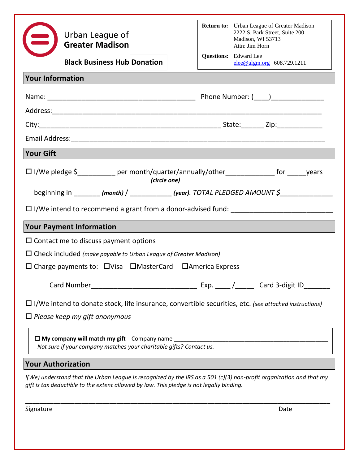| Urban League of<br><b>Greater Madison</b>                                                                                                                                                                         |  | <b>Return to:</b> Urban League of Greater Madison<br>2222 S. Park Street, Suite 200<br>Madison, WI 53713<br>Attn: Jim Horn |
|-------------------------------------------------------------------------------------------------------------------------------------------------------------------------------------------------------------------|--|----------------------------------------------------------------------------------------------------------------------------|
| <b>Black Business Hub Donation</b>                                                                                                                                                                                |  | <b>Questions:</b> Edward Lee<br>$elee@ulgm.org$   608.729.1211                                                             |
| <b>Your Information</b>                                                                                                                                                                                           |  |                                                                                                                            |
|                                                                                                                                                                                                                   |  |                                                                                                                            |
|                                                                                                                                                                                                                   |  |                                                                                                                            |
|                                                                                                                                                                                                                   |  |                                                                                                                            |
|                                                                                                                                                                                                                   |  |                                                                                                                            |
| <b>Your Gift</b>                                                                                                                                                                                                  |  |                                                                                                                            |
| □ I/We pledge \$__________ per month/quarter/annually/other_____________ for ______years<br>(circle one)                                                                                                          |  |                                                                                                                            |
| beginning in _______ (month) / ___________ (year). TOTAL PLEDGED AMOUNT \$_____________                                                                                                                           |  |                                                                                                                            |
| $\Box$ I/We intend to recommend a grant from a donor-advised fund: $\Box$ $\Box$ $\Box$ $\Box$ $\Box$ $\Box$ $\Box$                                                                                               |  |                                                                                                                            |
| <b>Your Payment Information</b>                                                                                                                                                                                   |  |                                                                                                                            |
| $\Box$ Contact me to discuss payment options                                                                                                                                                                      |  |                                                                                                                            |
| $\Box$ Check included (make payable to Urban League of Greater Madison)                                                                                                                                           |  |                                                                                                                            |
| $\Box$ Charge payments to: $\Box$ Visa $\Box$ Master Card $\Box$ America Express                                                                                                                                  |  |                                                                                                                            |
|                                                                                                                                                                                                                   |  |                                                                                                                            |
| $\Box$ I/We intend to donate stock, life insurance, convertible securities, etc. (see attached instructions)                                                                                                      |  |                                                                                                                            |
| $\Box$ Please keep my gift anonymous                                                                                                                                                                              |  |                                                                                                                            |
| Not sure if your company matches your charitable gifts? Contact us.                                                                                                                                               |  |                                                                                                                            |
| <b>Your Authorization</b>                                                                                                                                                                                         |  |                                                                                                                            |
| $I(We)$ understand that the Urban League is recognized by the IRS as a 501 (c)(3) non-profit organization and that my<br>gift is tax deductible to the extent allowed by law. This pledge is not legally binding. |  |                                                                                                                            |

Signature Date